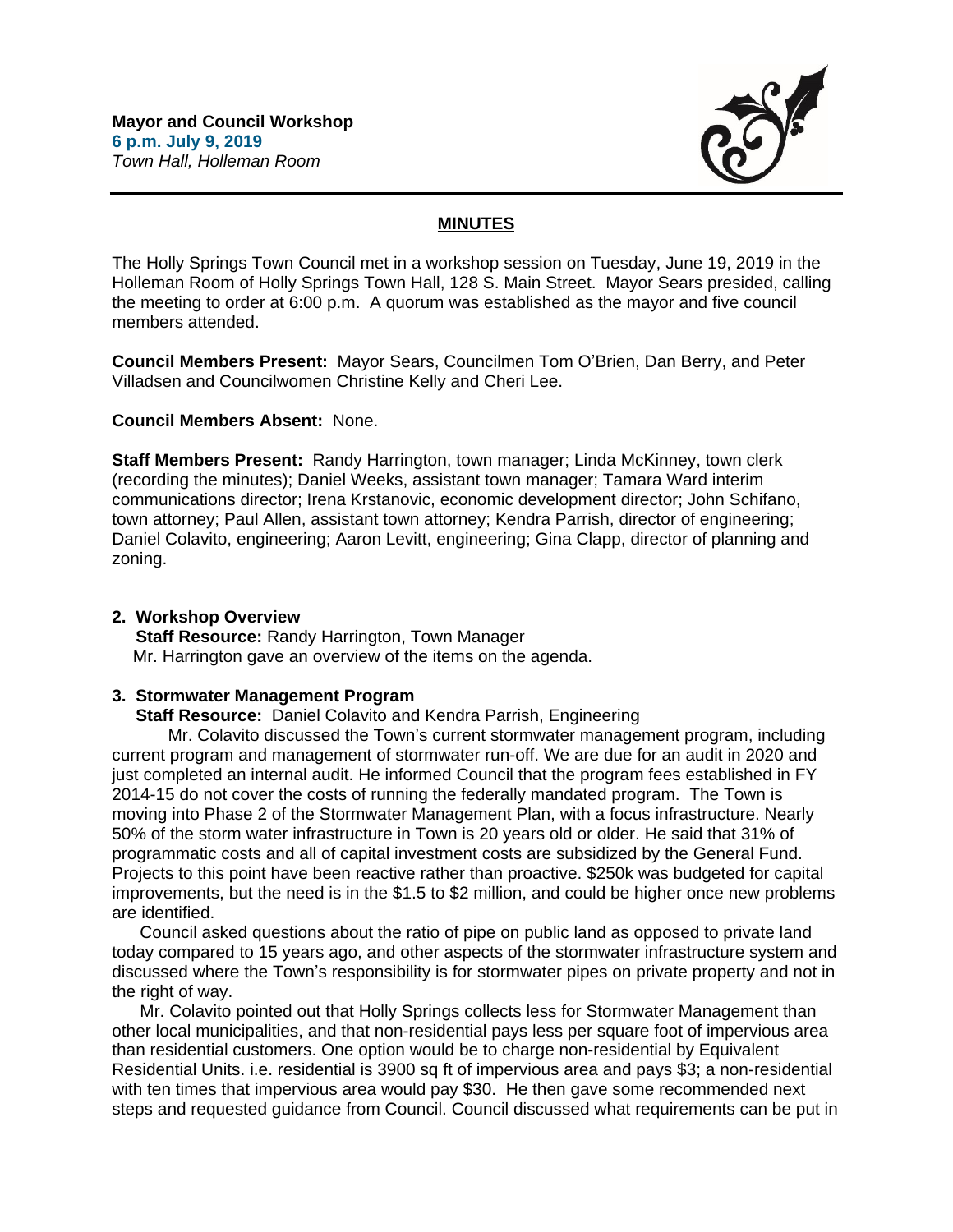

# **MINUTES**

The Holly Springs Town Council met in a workshop session on Tuesday, June 19, 2019 in the Holleman Room of Holly Springs Town Hall, 128 S. Main Street. Mayor Sears presided, calling the meeting to order at 6:00 p.m. A quorum was established as the mayor and five council members attended.

**Council Members Present:** Mayor Sears, Councilmen Tom O'Brien, Dan Berry, and Peter Villadsen and Councilwomen Christine Kelly and Cheri Lee.

## **Council Members Absent:** None.

**Staff Members Present:** Randy Harrington, town manager; Linda McKinney, town clerk (recording the minutes); Daniel Weeks, assistant town manager; Tamara Ward interim communications director; Irena Krstanovic, economic development director; John Schifano, town attorney; Paul Allen, assistant town attorney; Kendra Parrish, director of engineering; Daniel Colavito, engineering; Aaron Levitt, engineering; Gina Clapp, director of planning and zoning.

## **2. Workshop Overview**

 **Staff Resource:** Randy Harrington, Town Manager Mr. Harrington gave an overview of the items on the agenda.

## **3. Stormwater Management Program**

 **Staff Resource:** Daniel Colavito and Kendra Parrish, Engineering

Mr. Colavito discussed the Town's current stormwater management program, including current program and management of stormwater run-off. We are due for an audit in 2020 and just completed an internal audit. He informed Council that the program fees established in FY 2014-15 do not cover the costs of running the federally mandated program. The Town is moving into Phase 2 of the Stormwater Management Plan, with a focus infrastructure. Nearly 50% of the storm water infrastructure in Town is 20 years old or older. He said that 31% of programmatic costs and all of capital investment costs are subsidized by the General Fund. Projects to this point have been reactive rather than proactive. \$250k was budgeted for capital improvements, but the need is in the \$1.5 to \$2 million, and could be higher once new problems are identified.

Council asked questions about the ratio of pipe on public land as opposed to private land today compared to 15 years ago, and other aspects of the stormwater infrastructure system and discussed where the Town's responsibility is for stormwater pipes on private property and not in the right of way.

Mr. Colavito pointed out that Holly Springs collects less for Stormwater Management than other local municipalities, and that non-residential pays less per square foot of impervious area than residential customers. One option would be to charge non-residential by Equivalent Residential Units. i.e. residential is 3900 sq ft of impervious area and pays \$3; a non-residential with ten times that impervious area would pay \$30. He then gave some recommended next steps and requested guidance from Council. Council discussed what requirements can be put in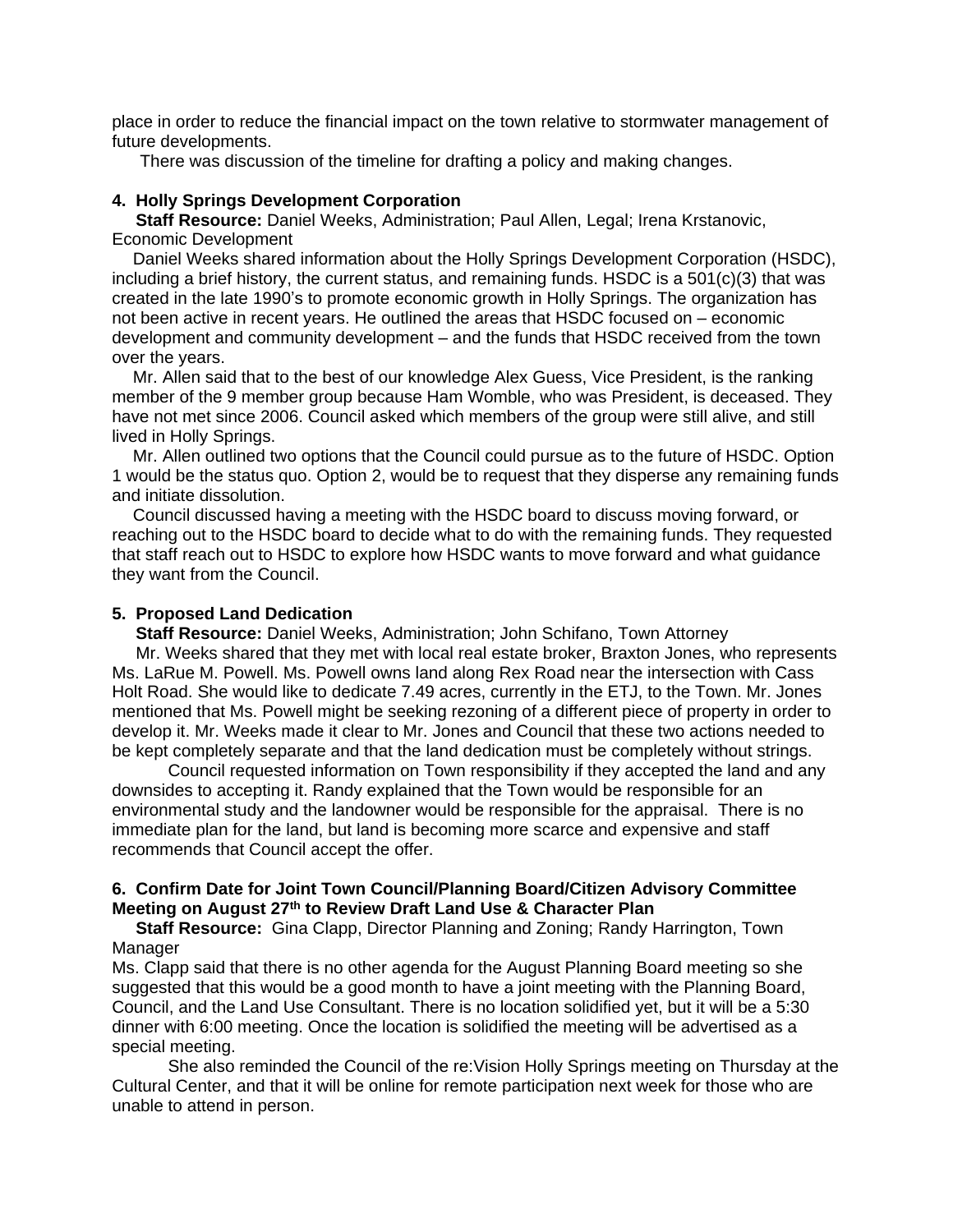place in order to reduce the financial impact on the town relative to stormwater management of future developments.

There was discussion of the timeline for drafting a policy and making changes.

## **4. Holly Springs Development Corporation**

 **Staff Resource:** Daniel Weeks, Administration; Paul Allen, Legal; Irena Krstanovic, Economic Development

Daniel Weeks shared information about the Holly Springs Development Corporation (HSDC), including a brief history, the current status, and remaining funds. HSDC is a 501(c)(3) that was created in the late 1990's to promote economic growth in Holly Springs. The organization has not been active in recent years. He outlined the areas that HSDC focused on – economic development and community development – and the funds that HSDC received from the town over the years.

Mr. Allen said that to the best of our knowledge Alex Guess, Vice President, is the ranking member of the 9 member group because Ham Womble, who was President, is deceased. They have not met since 2006. Council asked which members of the group were still alive, and still lived in Holly Springs.

Mr. Allen outlined two options that the Council could pursue as to the future of HSDC. Option 1 would be the status quo. Option 2, would be to request that they disperse any remaining funds and initiate dissolution.

Council discussed having a meeting with the HSDC board to discuss moving forward, or reaching out to the HSDC board to decide what to do with the remaining funds. They requested that staff reach out to HSDC to explore how HSDC wants to move forward and what guidance they want from the Council.

## **5. Proposed Land Dedication**

 **Staff Resource:** Daniel Weeks, Administration; John Schifano, Town Attorney

 Mr. Weeks shared that they met with local real estate broker, Braxton Jones, who represents Ms. LaRue M. Powell. Ms. Powell owns land along Rex Road near the intersection with Cass Holt Road. She would like to dedicate 7.49 acres, currently in the ETJ, to the Town. Mr. Jones mentioned that Ms. Powell might be seeking rezoning of a different piece of property in order to develop it. Mr. Weeks made it clear to Mr. Jones and Council that these two actions needed to be kept completely separate and that the land dedication must be completely without strings.

Council requested information on Town responsibility if they accepted the land and any downsides to accepting it. Randy explained that the Town would be responsible for an environmental study and the landowner would be responsible for the appraisal. There is no immediate plan for the land, but land is becoming more scarce and expensive and staff recommends that Council accept the offer.

## **6. Confirm Date for Joint Town Council/Planning Board/Citizen Advisory Committee Meeting on August 27th to Review Draft Land Use & Character Plan**

 **Staff Resource:** Gina Clapp, Director Planning and Zoning; Randy Harrington, Town Manager

Ms. Clapp said that there is no other agenda for the August Planning Board meeting so she suggested that this would be a good month to have a joint meeting with the Planning Board, Council, and the Land Use Consultant. There is no location solidified yet, but it will be a 5:30 dinner with 6:00 meeting. Once the location is solidified the meeting will be advertised as a special meeting.

She also reminded the Council of the re:Vision Holly Springs meeting on Thursday at the Cultural Center, and that it will be online for remote participation next week for those who are unable to attend in person.